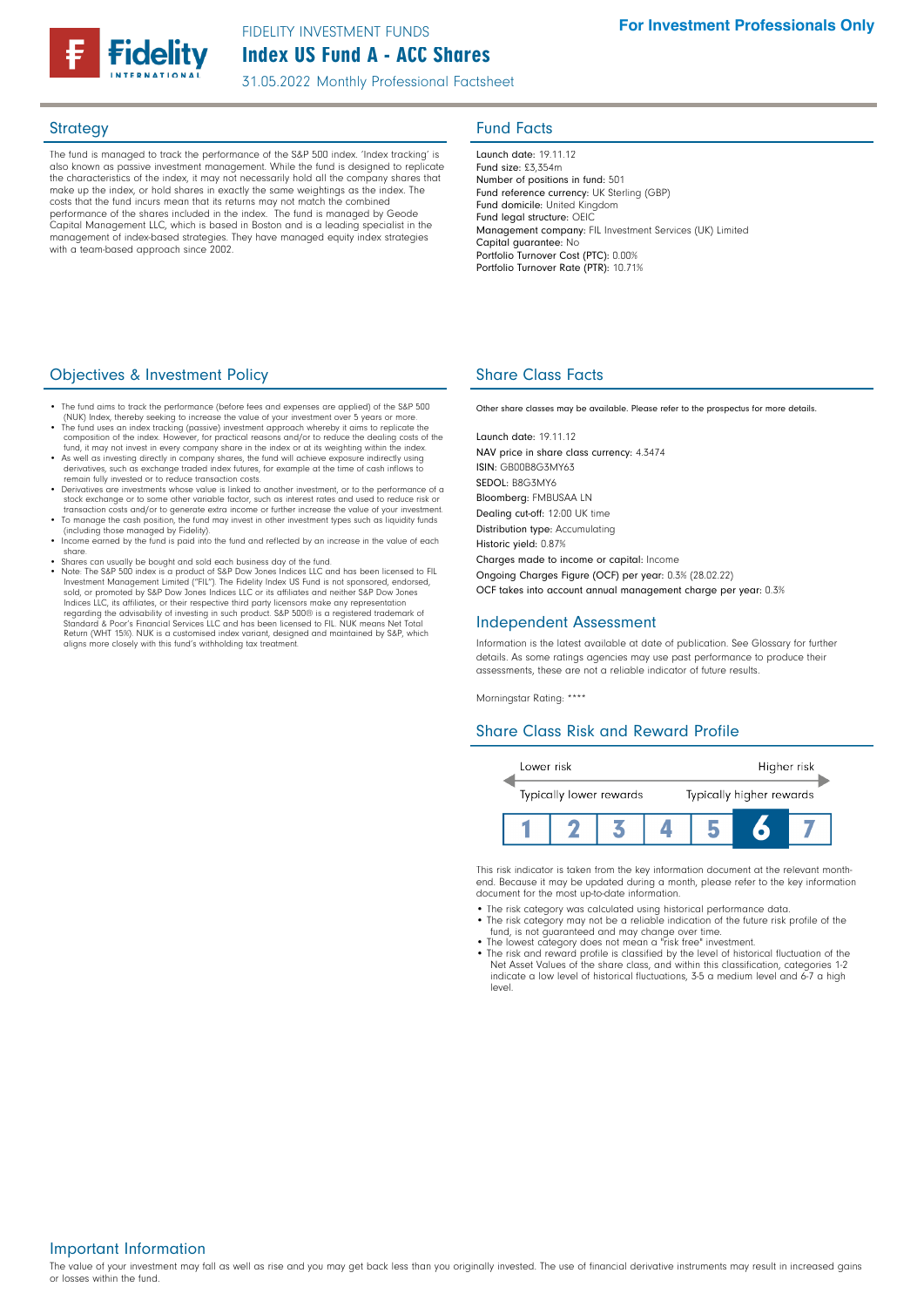

# Index US Fund A - ACC Shares FIDELITY INVESTMENT FUNDS

31.05.2022 Monthly Professional Factsheet

The fund is managed to track the performance of the S&P 500 index. 'Index tracking' is also known as passive investment management. While the fund is designed to replicate the characteristics of the index, it may not necessarily hold all the company shares that make up the index, or hold shares in exactly the same weightings as the index. The costs that the fund incurs mean that its returns may not match the combined performance of the shares included in the index. The fund is managed by Geode Capital Management LLC, which is based in Boston and is a leading specialist in the management of index-based strategies. They have managed equity index strategies with a team-based approach since 2002.

# Strategy **Fund Facts**

Launch date: 19.11.12 Fund size: £3,354m Number of positions in fund: 501 Fund reference currency: UK Sterling (GBP) Fund domicile: United Kingdom Fund legal structure: OEIC Management company: FIL Investment Services (UK) Limited Capital guarantee: No Portfolio Turnover Cost (PTC): 0.00% Portfolio Turnover Rate (PTR): 10.71%

## **Objectives & Investment Policy Share Class Facts** Share Class Facts

- The fund aims to track the performance (before fees and expenses are applied) of the S&P 500
- (NUK) Index, thereby seeking to increase the value of your investment over 5 years or more. The fund uses an index tracking (passive) investment approach whereby it aims to replicate the composition of the index. However, for practical reasons and/or to reduce the dealing costs of the<br>fund, it may not invest in every company share in the index or at its weighting within the index.<br>• As well as investing di
- derivatives, such as exchange traded index futures, for example at the time of cash inflows to remain fully invested or to reduce transaction costs.
- Derivatives are investments whose value is linked to another investment, or to the performance of a stock exchange or to some other variable factor, such as interest rates and used to reduce risk or transaction costs and/or to generate extra income or further increase the value of your investment.
- 
- To manage the cash position, the fund may invest in other investment types such as liquidity funds<br>(including those managed by Fidelity).<br>• Income earned by the fund is paid into the fund and reflected by an increase in th share.
- 
- Shares can usually be bought and sold each business day of the fund. Note: The S&P 500 index is a product of S&P Dow Jones Indices LLC and has been licensed to FIL Investment Management Limited ("FIL"). The Fidelity Index US Fund is not sponsored, endorsed, sold, or promoted by S&P Dow Jones Indices LLC or its affiliates and neither S&P Dow Jones Indices LLC, its affiliates, or their respective third party licensors make any representation<br>regarding the advisability of investing in such product. S&P 500® is a registered trademark of<br>Standard & Poor's Financial Serv Return (WHT 15%). NUK is a customised index variant, designed and maintained by S&P, which aligns more closely with this fund's withholding tax treatme

Other share classes may be available. Please refer to the prospectus for more details.

Launch date: 19.11.12 NAV price in share class currency: 4.3474 ISIN: GB00B8G3MY63 SEDOL: B8G3MY6 Bloomberg: FMBUSAA LN Dealing cut-off: 12:00 UK time Distribution type: Accumulating Historic yield: 0.87% Charges made to income or capital: Income Ongoing Charges Figure (OCF) per year: 0.3% (28.02.22) OCF takes into account annual management charge per year: 0.3%

## Independent Assessment

Information is the latest available at date of publication. See Glossary for further details. As some ratings agencies may use past performance to produce their assessments, these are not a reliable indicator of future results.

Morningstar Rating: \*\*\*\*

## Share Class Risk and Reward Profile



This risk indicator is taken from the key information document at the relevant monthend. Because it may be updated during a month, please refer to the key information document for the most up-to-date information.

- The risk category was calculated using historical performance data.
- The risk category may not be a reliable indication of the future risk profile of the fund, is not guaranteed and may change over time.
- The lowest category does not mean a "risk free" investment.
- The risk and reward profile is classified by the level of historical fluctuation of the Net Asset Values of the share class, and within this classification, categories 1-2 indicate a low level of historical fluctuations, 3-5 a medium level and 6-7 a high level.

Important Information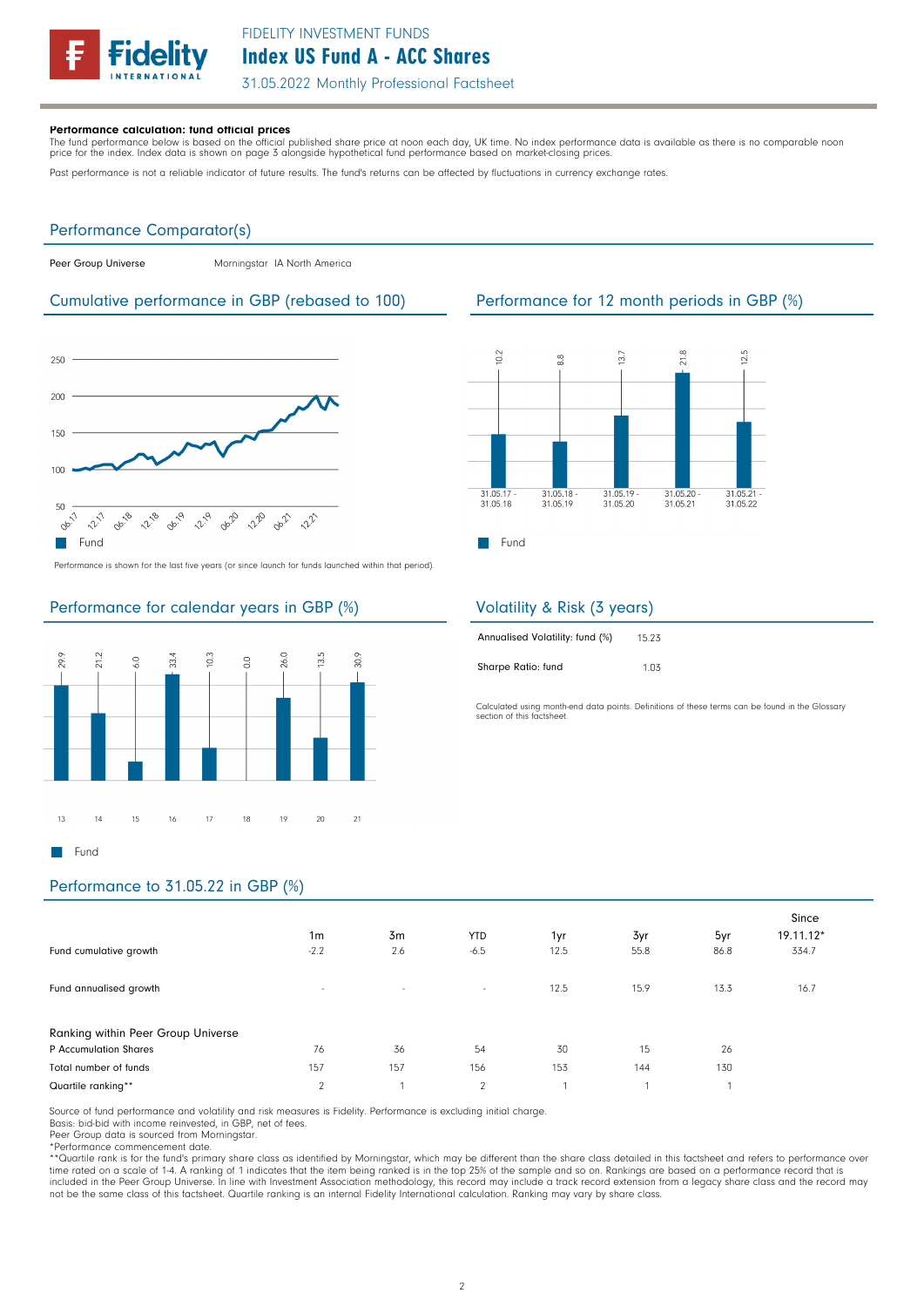

#### Performance calculation: fund official prices

The fund performance below is based on the official published share price at noon each day, UK time. No index performance data is available as there is no comparable noon<br>price for the index. Index data is shown on page 3

Past performance is not a reliable indicator of future results. The fund's returns can be affected by fluctuations in currency exchange rates.

### Performance Comparator(s)

Peer Group Universe Morningstar IA North America

## Cumulative performance in GBP (rebased to 100) Performance for 12 month periods in GBP (%)



Performance is shown for the last five years (or since launch for funds launched within that period).

## Performance for calendar years in GBP (%)





## Volatility & Risk (3 years)

| Annualised Volatility: fund (%) | 15.23 |
|---------------------------------|-------|
| Sharpe Ratio: fund              | 1.03  |

Calculated using month-end data points. Definitions of these terms can be found in the Glossary section of this factsheet

# Performance to 31.05.22 in GBP (%)

Fund

**I** 

| Fund cumulative growth                                      | 1 <sub>m</sub><br>$-2.2$ | 3m<br>2.6 | <b>YTD</b><br>$-6.5$ | 1yr<br>12.5 | 3yr<br>55.8 | 5yr<br>86.8 | Since<br>19.11.12*<br>334.7 |
|-------------------------------------------------------------|--------------------------|-----------|----------------------|-------------|-------------|-------------|-----------------------------|
| Fund annualised growth                                      | $\sim$                   | $\sim$    | $\sim$               | 12.5        | 15.9        | 13.3        | 16.7                        |
| Ranking within Peer Group Universe<br>P Accumulation Shares | 76                       | 36        | 54                   | 30          | 15          | 26          |                             |
| Total number of funds                                       | 157                      | 157       | 156                  | 153         | 144         | 130         |                             |
| Quartile ranking**                                          | $\sim$                   |           | $\mathfrak{p}$       |             |             |             |                             |

Source of fund performance and volatility and risk measures is Fidelity. Performance is excluding initial charge.

Basis: bid-bid with income reinvested, in GBP, net of fees.

Peer Group data is sourced from Morningstar.

\*Performance commencement date.

\*\*Quartile rank is for the fund's primary share class as identified by Morningstar, which may be different than the share class detailed in this factsheet and refers to performance over time rated on a scale of 1-4. A ranking of 1 indicates that the item being ranked is in the top 25% of the sample and so on. Rankings are based on a performance record that is included in the Peer Group Universe. In line with Investment Association methodology, this record may include a track record extension from a legacy share class and the record may<br>not be the same class of this factsheet. Q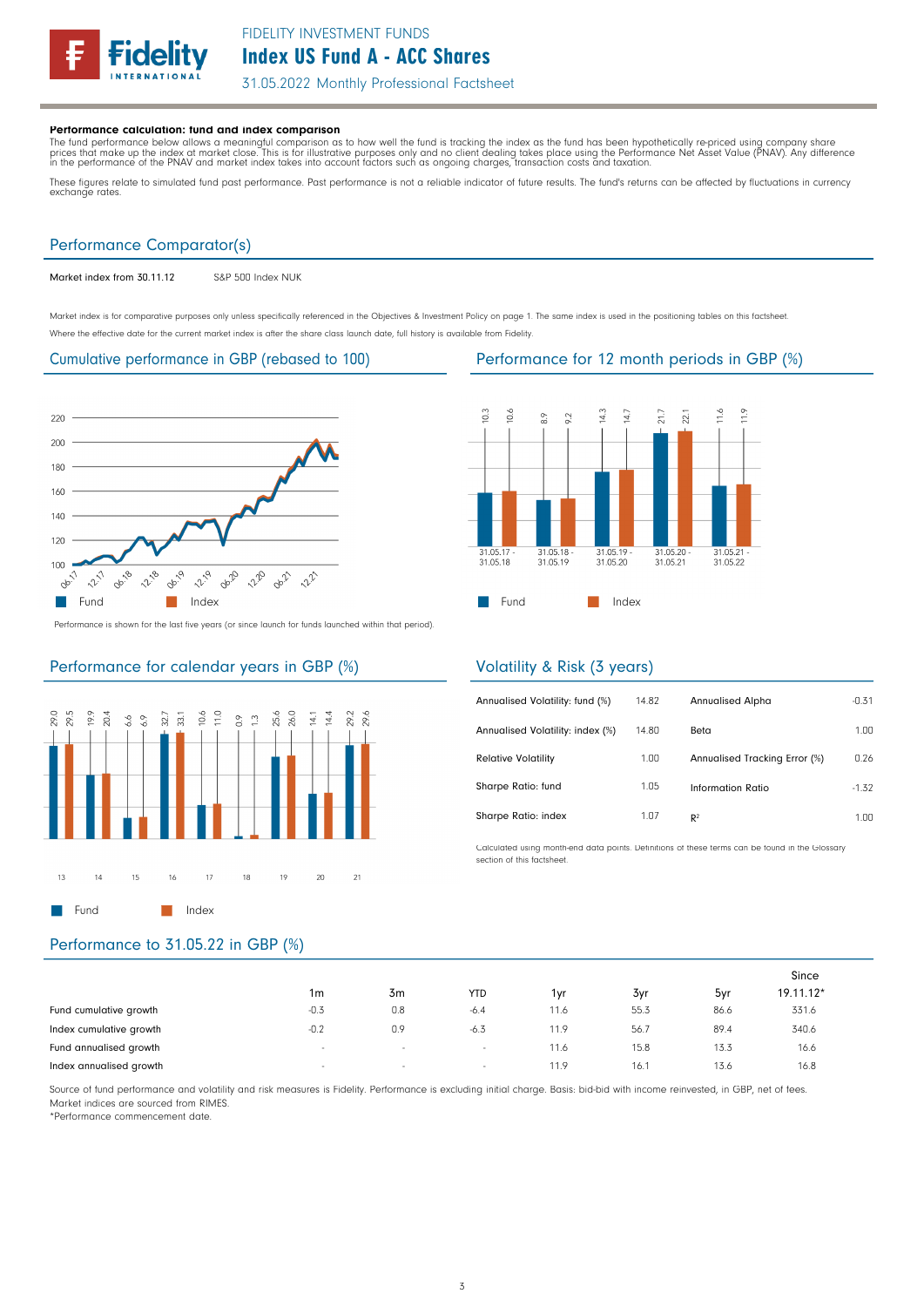

#### Performance calculation: fund and index comparison

The fund performance below allows a meaningful comparison as to how well the fund is tracking the index as the fund has been hypothetically re-priced using company share<br>prices that make up the index at market close. This

These figures relate to simulated fund past performance. Past performance is not a reliable indicator of future results. The fund's returns can be affected by fluctuations in currency<br>exchange rates.

### Performance Comparator(s)

Market index from 30.11.12 S&P 500 Index NUK

Market index is for comparative purposes only unless specifically referenced in the Objectives & Investment Policy on page 1. The same index is used in the positioning tables on this factsheet. Where the effective date for the current market index is after the share class launch date, full history is available from Fidelity.

#### Cumulative performance in GBP (rebased to 100) Performance for 12 month periods in GBP (%)



Performance is shown for the last five years (or since launch for funds launched within that period).







### Volatility & Risk (3 years)

| Annualised Volatility: fund (%)  | 14.82 | <b>Annualised Alpha</b>       | $-0.31$ |
|----------------------------------|-------|-------------------------------|---------|
| Annualised Volatility: index (%) | 14.80 | Beta                          | 1.00    |
| <b>Relative Volatility</b>       | 1.00  | Annualised Tracking Error (%) | 0.26    |
| Sharpe Ratio: fund               | 1.05  | Information Ratio             | $-1.32$ |
| Sharpe Ratio: index              | 1.07  | R <sup>2</sup>                | 1.00    |

Calculated using month-end data points. Definitions of these terms can be found in the Glossary section of this factsheet

# Performance to 31.05.22 in GBP (%)

|                         |                          |        |            |      |      |      | Since     |
|-------------------------|--------------------------|--------|------------|------|------|------|-----------|
|                         | 1m                       | 3m     | <b>YTD</b> | 1vr  | 3yr  | 5yr  | 19.11.12* |
| Fund cumulative growth  | $-0.3$                   | 0.8    | $-6.4$     | 11.6 | 55.3 | 86.6 | 331.6     |
| Index cumulative growth | $-0.2$                   | 0.9    | $-6.3$     | 11.9 | 56.7 | 89.4 | 340.6     |
| Fund annualised growth  | $\overline{\phantom{a}}$ | $\sim$ | $\sim$     | 11.6 | 15.8 | 13.3 | 16.6      |
| Index annualised growth | $\overline{\phantom{a}}$ | $\sim$ | $\sim$     | 11.9 | 16.1 | 13.6 | 16.8      |

Source of fund performance and volatility and risk measures is Fidelity. Performance is excluding initial charge. Basis: bid-bid with income reinvested, in GBP, net of fees. Market indices are sourced from RIMES.

\*Performance commencement date.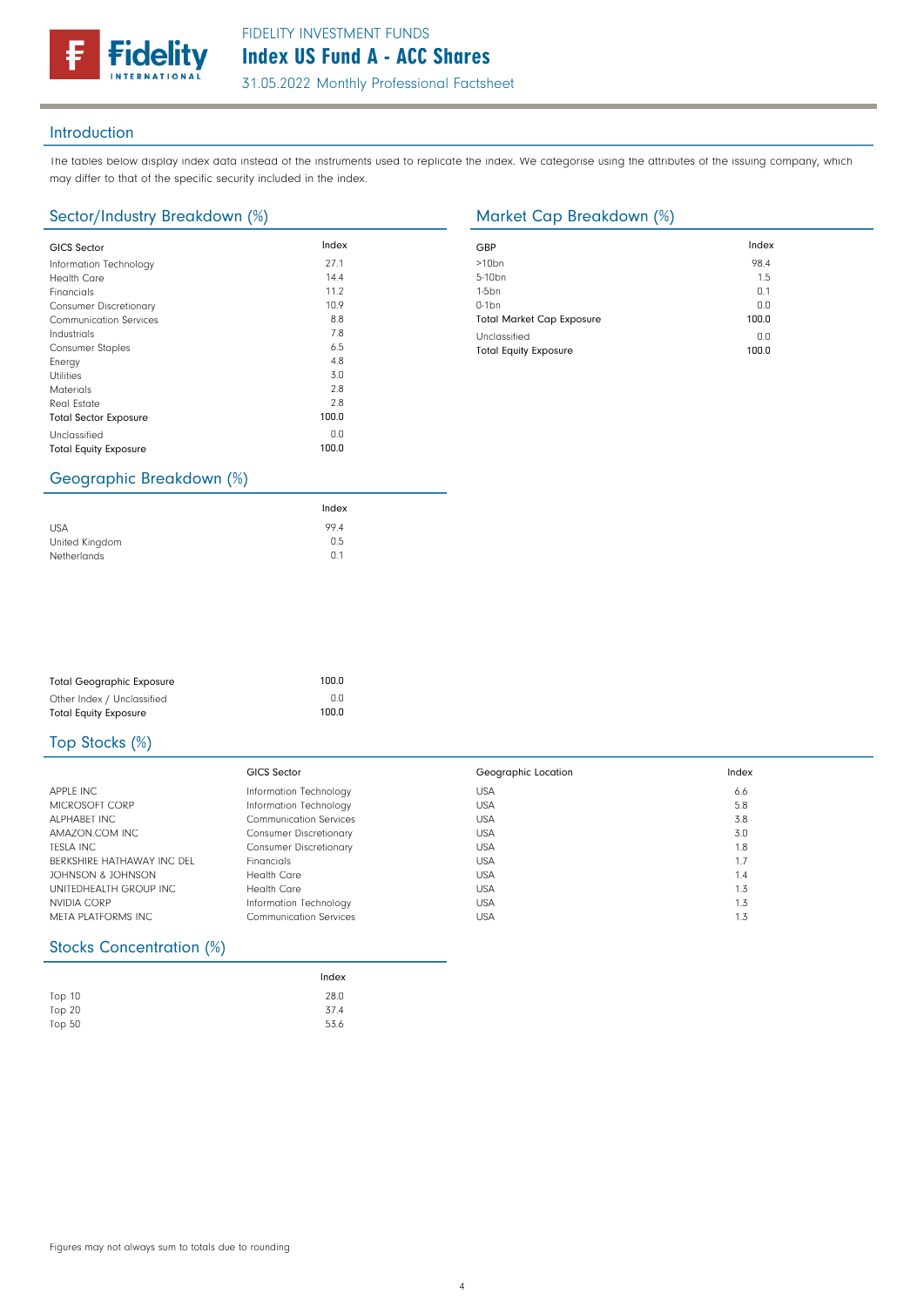FIDELITY INVESTMENT FUNDS

Index US Fund A - ACC Shares

31.05.2022 Monthly Professional Factsheet

### Introduction

The tables below display index data instead of the instruments used to replicate the index. We categorise using the attributes of the issuing company, which may differ to that of the specific security included in the index.

## Sector/Industry Breakdown (%) Market Cap Breakdown (%)

delitv

| <b>GICS Sector</b>            | Index | GBP              |
|-------------------------------|-------|------------------|
| Information Technology        | 27.1  | >10 <sub>k</sub> |
| <b>Health Care</b>            | 14.4  | $5 - 10$         |
| Financials                    | 11.2  | $1-5b$           |
| <b>Consumer Discretionary</b> | 10.9  | $0-1b$           |
| <b>Communication Services</b> | 8.8   | Tota             |
| Industrials                   | 7.8   | Uncl             |
| <b>Consumer Staples</b>       | 6.5   | Tota             |
| Energy                        | 4.8   |                  |
| <b>Utilities</b>              | 3.0   |                  |
| <b>Materials</b>              | 2.8   |                  |
| Real Estate                   | 2.8   |                  |
| <b>Total Sector Exposure</b>  | 100.0 |                  |
| Unclassified                  | 0.0   |                  |
| <b>Total Equity Exposure</b>  | 100.0 |                  |

| GBP                              | Index |
|----------------------------------|-------|
| $>10$ bn                         | 98.4  |
| 5-10 <sub>bn</sub>               | 1.5   |
| $1-5$ bn                         | 0.1   |
| $0-1$ bn                         | 0.0   |
| <b>Total Market Cap Exposure</b> | 100.0 |
| Unclassified                     | 0.0   |
| <b>Total Equity Exposure</b>     | 100.0 |

## Geographic Breakdown (%)

|                | Index |
|----------------|-------|
| <b>USA</b>     | 99.4  |
| United Kingdom | 0.5   |
| Netherlands    | 0.1   |

| <b>Total Geographic Exposure</b> | 100.0 |
|----------------------------------|-------|
| Other Index / Unclassified       | 0.0   |
| <b>Total Equity Exposure</b>     | 100.0 |

## Top Stocks (%)

|                            | GICS Sector                   | Geographic Location | Index |
|----------------------------|-------------------------------|---------------------|-------|
| APPLE INC                  | Information Technology        | <b>USA</b>          | 6.6   |
| MICROSOFT CORP             | Information Technology        | <b>USA</b>          | 5.8   |
| ALPHABET INC               | <b>Communication Services</b> | <b>USA</b>          | 3.8   |
| AMAZON.COM INC             | <b>Consumer Discretionary</b> | <b>USA</b>          | 3.0   |
| <b>TESLA INC</b>           | <b>Consumer Discretionary</b> | <b>USA</b>          | 1.8   |
| BERKSHIRE HATHAWAY INC DEL | <b>Financials</b>             | <b>USA</b>          | 1.7   |
| JOHNSON & JOHNSON          | Health Care                   | <b>USA</b>          | 1.4   |
| UNITEDHEALTH GROUP INC     | <b>Health Care</b>            | <b>USA</b>          | 1.3   |
| NVIDIA CORP                | Information Technology        | <b>USA</b>          | 1.3   |
| META PLATFORMS INC         | <b>Communication Services</b> | <b>USA</b>          | 1.3   |

## Stocks Concentration (%)

|        | Index |
|--------|-------|
| Top 10 | 28.0  |
| Top 20 | 37.4  |
| Top 50 | 53.6  |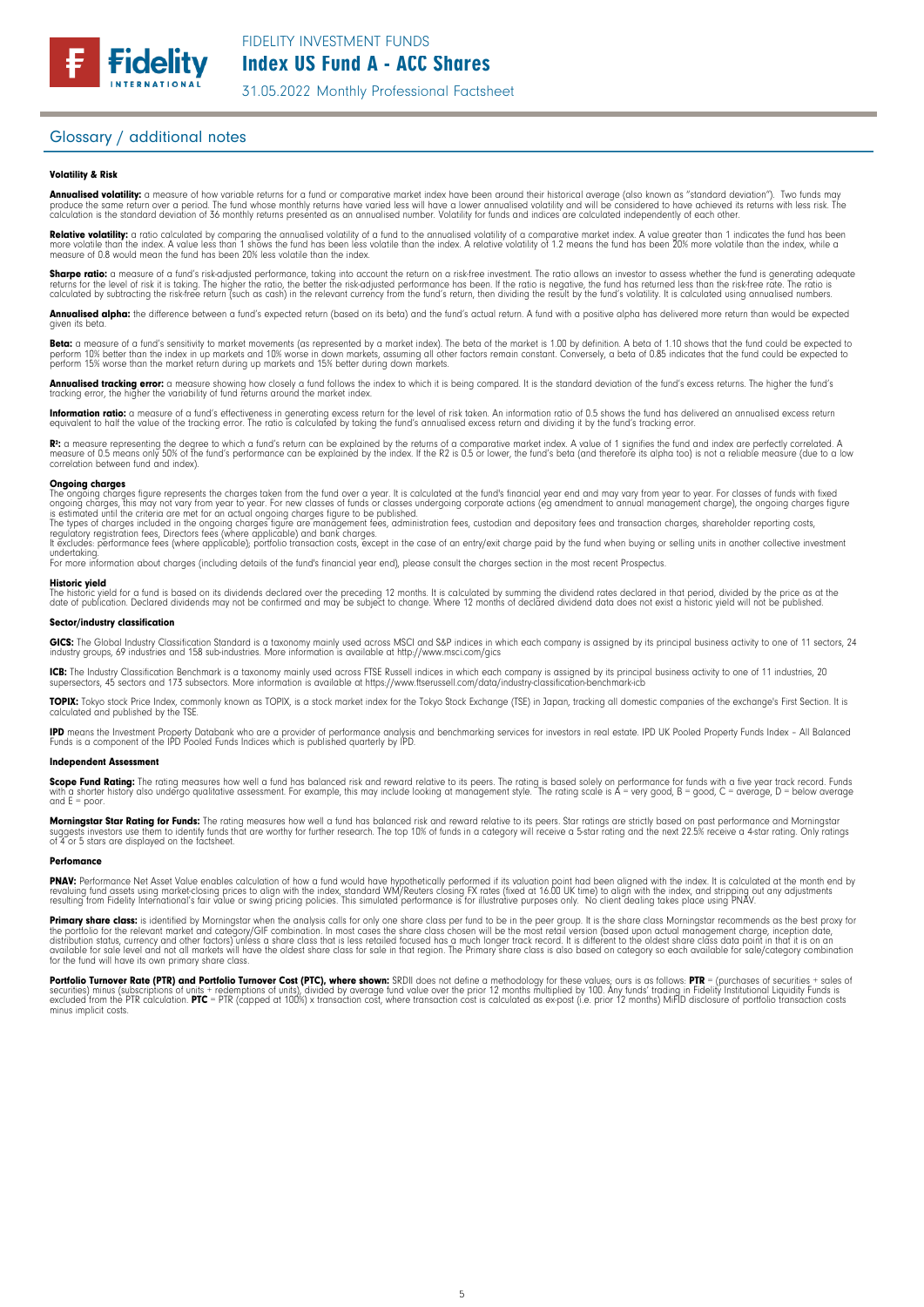### Glossary / additional notes

#### Volatility & Risk

**Annualised volatility:** a measure of how variable returns for a fund or comparative market index have been around their historical average (also known as "standard deviation"). Two funds may<br>produce the same return over a calculation is the standard deviation of 36 monthly returns presented as an annualised number. Volatility for funds and indices are calculated independently of each other

**Relative volatility:** a ratio calculated by comparing the annualised volatility of a fund to the annualised volatility of a comparative market index. A value greater than 1 indicates the fund has been<br>more volatile than t measure of 0.8 would mean the fund has been 20% less volatile than the index.

**Sharpe ratio:** a measure of a fund's risk-adjusted performance, taking into account the return on a risk-free investment. The ratio allows an investor to assess whether the fund is generating adequate the tund is generati

Annualised alpha: the difference between a fund's expected return (based on its beta) and the fund's actual return. A fund with a positive alpha has delivered more return than would be expected given its beta

**Beta:** a measure of a fund's sensitivity to market movements (as represented by a market index). The beta of the market is 1.00 by definition. A beta of 1.10 shows that the fund could be expected to<br>perform 10% better tha perform 15% worse than the market return during up markets and 15% better during down markets.

**Annualised tracking error:** a measure showing how closely a tund tollows the index to which it is being compared. It is the standard deviation of the fund's excess returns. The higher the fund's<br>tracking error, the higher

**Information ratio:** a measure ot a tund's eftectiveness in generating excess return for the level of risk taken. An information ratio of U.5 shows the fund has delivered an annualised excess return<br>equivalent to half the

Rº: a measure representing the degree to which a fund's return can be explained by the returns of a comparative market index. A value of 1 signifies the fund and index are perfectly correlated. A<br>measure of 0.5 means only correlation between fund and index).

**Ongoing charges** figure represents the charges taken from the fund over a year. It is calculated at the fund's financial year end and may vary from year to year. For classes of funds with fixed ongoing charges figure repr

For more information about charges (including details of the fund's financial year end), please consult the charges section in the most recent Prospectus.

**Historic yield**<br>The historic yield for a fund is based on its dividends declared over the preceding 12 months. It is calculated by summing the dividend rates declared in that period, divided by the price as at the date of publication. Declared dividends may not be confirmed and may be subject to change. Where 12 months of declared dividend data does not exist a historic yield will not be published.

#### Sector/industry classification

GICS: The Global Industry Classification Standard is a taxonomy mainly used across MSCI and S&P indices in which each company is assigned by its principal business activity to one of 11 sectors, 24 industry groups, 69 industries and 158 sub-industries. More information is available at http://www.msci.com/gics

**ICB:** The Industry Classitication Benchmark is a taxonomy mainly used across FTSE Russell indices in which each company is assigned by its principal business activity to one of 11 industries, 20<br>supersectors, 45 sectors a

TOPIX: Tokyo stock Price Index, commonly known as TOPIX, is a stock market index for the Tokyo Stock Exchange (TSE) in Japan, tracking all domestic companies of the exchange's First Section. It is calculated and published by the TSE.

**IPD** means the Investment Property Databank who are a provider of performance analysis and benchmarking services for investors in real estate. IPD UK Pooled Property Funds Index - All Balanced<br>Funds is a component of the

#### Independent Assessment

**Scope Fund Rating:** The rating measures how well a fund has balanced risk and reward relative to its peers. The rating is based solely on performance for funds with a five year track record. Funds<br>with a shorter history a  $and E = poor$ 

**Morningstar Star Rating for Funds:** The rating measures how well a tund has balanced risk and reward relative to its peers. Star ratings are strictly based on past performance and Morningstar<br>suggests investors use them t

#### **Perfomance**

**PNAV:** Performance Net Asset Value enables calculation of how a fund would have hypothetically performed if its valuation point had been aligned with the index. It is calculated at the month end by<br>revaluing from Fidelity

Primary share class: is identified by Morningstar when the analysis calls for only one share class per fund to be in the peer group. It is the share class Morningstar recommends as the best proxy for the portfolio for the relevant market and category/GIF combination. In most cases the share class chosen will be the most retail version (based upon actual management charge, inception date,<br>distribution status, currency a

Portfolio Turnover Rate (PTR) and Portfolio Turnover Cost (PTC), where shown: SRDII does not define a methodology for these values; ours is as follows: PTR = (purchases of securities + sales of<br>securities) minus (subscript minus implicit costs.